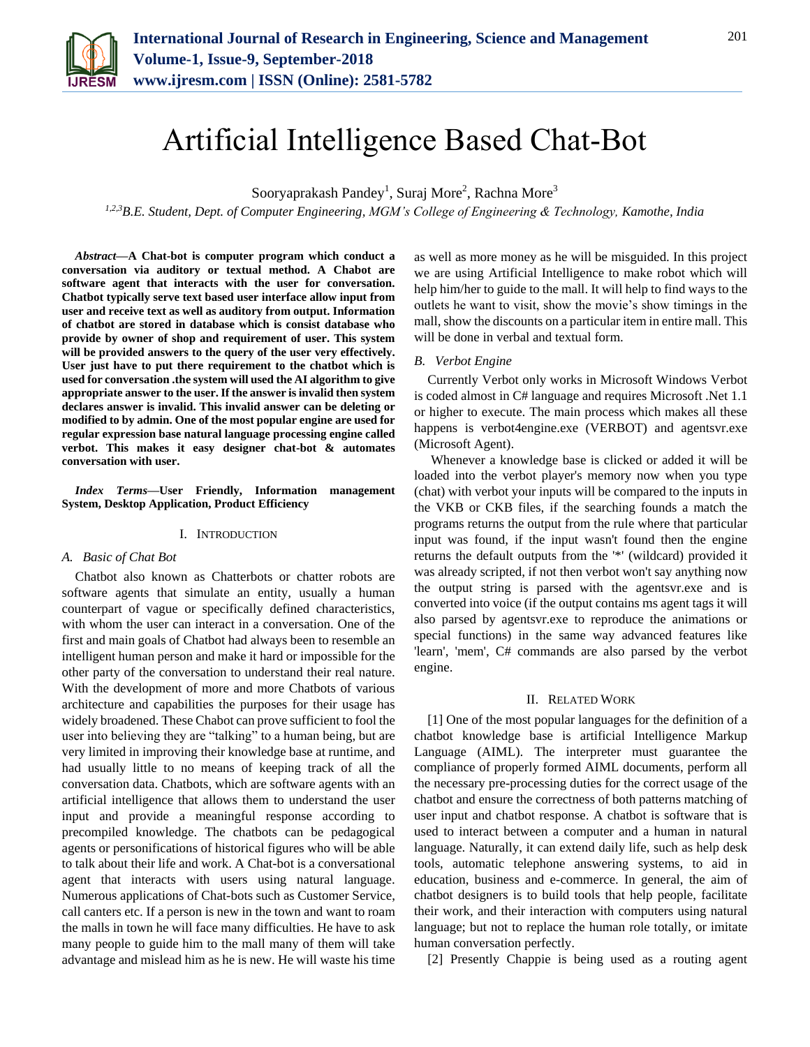

# Artificial Intelligence Based Chat-Bot

Sooryaprakash Pandey<sup>1</sup>, Suraj More<sup>2</sup>, Rachna More<sup>3</sup>

*1,2,3B.E. Student, Dept. of Computer Engineering, MGM's College of Engineering & Technology, Kamothe, India*

*Abstract***—A Chat-bot is computer program which conduct a conversation via auditory or textual method. A Chabot are software agent that interacts with the user for conversation. Chatbot typically serve text based user interface allow input from user and receive text as well as auditory from output. Information of chatbot are stored in database which is consist database who provide by owner of shop and requirement of user. This system will be provided answers to the query of the user very effectively. User just have to put there requirement to the chatbot which is used for conversation .the system will used the AI algorithm to give appropriate answer to the user. If the answer is invalid then system declares answer is invalid. This invalid answer can be deleting or modified to by admin. One of the most popular engine are used for regular expression base natural language processing engine called verbot. This makes it easy designer chat-bot & automates conversation with user.**

*Index Terms***—User Friendly, Information management System, Desktop Application, Product Efficiency**

#### I. INTRODUCTION

## *A. Basic of Chat Bot*

Chatbot also known as Chatterbots or chatter robots are software agents that simulate an entity, usually a human counterpart of vague or specifically defined characteristics, with whom the user can interact in a conversation. One of the first and main goals of Chatbot had always been to resemble an intelligent human person and make it hard or impossible for the other party of the conversation to understand their real nature. With the development of more and more Chatbots of various architecture and capabilities the purposes for their usage has widely broadened. These Chabot can prove sufficient to fool the user into believing they are "talking" to a human being, but are very limited in improving their knowledge base at runtime, and had usually little to no means of keeping track of all the conversation data. Chatbots, which are software agents with an artificial intelligence that allows them to understand the user input and provide a meaningful response according to precompiled knowledge. The chatbots can be pedagogical agents or personifications of historical figures who will be able to talk about their life and work. A Chat-bot is a conversational agent that interacts with users using natural language. Numerous applications of Chat-bots such as Customer Service, call canters etc. If a person is new in the town and want to roam the malls in town he will face many difficulties. He have to ask many people to guide him to the mall many of them will take advantage and mislead him as he is new. He will waste his time

as well as more money as he will be misguided. In this project we are using Artificial Intelligence to make robot which will help him/her to guide to the mall. It will help to find ways to the outlets he want to visit, show the movie's show timings in the mall, show the discounts on a particular item in entire mall. This will be done in verbal and textual form.

## *B. Verbot Engine*

Currently Verbot only works in Microsoft Windows Verbot is coded almost in C# language and requires Microsoft .Net 1.1 or higher to execute. The main process which makes all these happens is verbot4engine.exe (VERBOT) and agentsvr.exe (Microsoft Agent).

Whenever a knowledge base is clicked or added it will be loaded into the verbot player's memory now when you type (chat) with verbot your inputs will be compared to the inputs in the VKB or CKB files, if the searching founds a match the programs returns the output from the rule where that particular input was found, if the input wasn't found then the engine returns the default outputs from the '\*' (wildcard) provided it was already scripted, if not then verbot won't say anything now the output string is parsed with the agentsvr.exe and is converted into voice (if the output contains ms agent tags it will also parsed by agentsvr.exe to reproduce the animations or special functions) in the same way advanced features like 'learn', 'mem', C# commands are also parsed by the verbot engine.

# II. RELATED WORK

[1] One of the most popular languages for the definition of a chatbot knowledge base is artificial Intelligence Markup Language (AIML). The interpreter must guarantee the compliance of properly formed AIML documents, perform all the necessary pre-processing duties for the correct usage of the chatbot and ensure the correctness of both patterns matching of user input and chatbot response. A chatbot is software that is used to interact between a computer and a human in natural language. Naturally, it can extend daily life, such as help desk tools, automatic telephone answering systems, to aid in education, business and e-commerce. In general, the aim of chatbot designers is to build tools that help people, facilitate their work, and their interaction with computers using natural language; but not to replace the human role totally, or imitate human conversation perfectly.

[2] Presently Chappie is being used as a routing agent